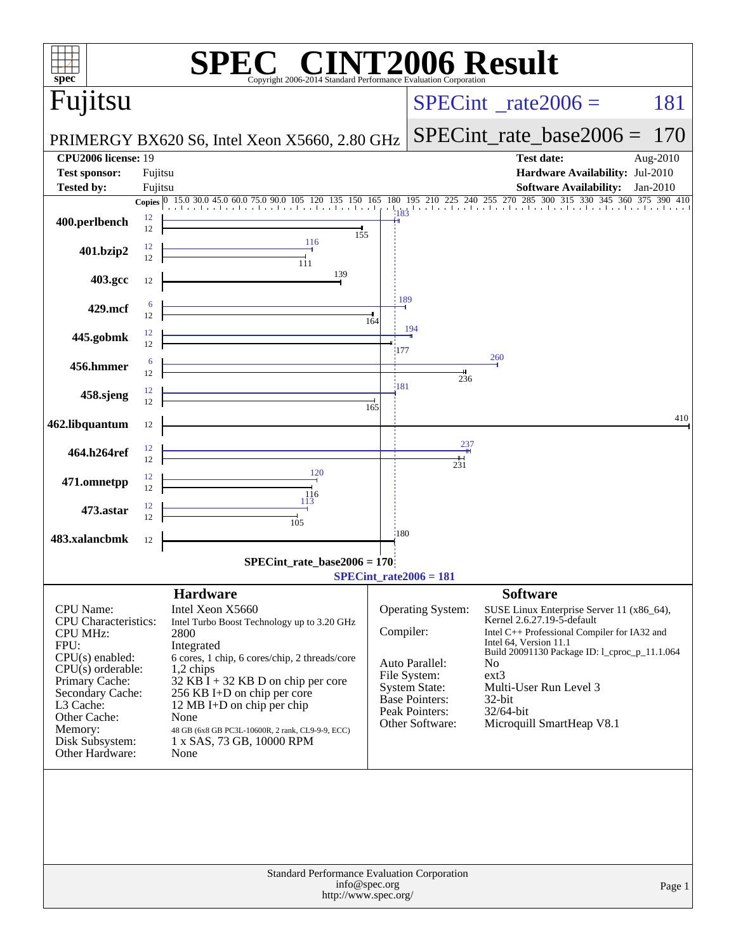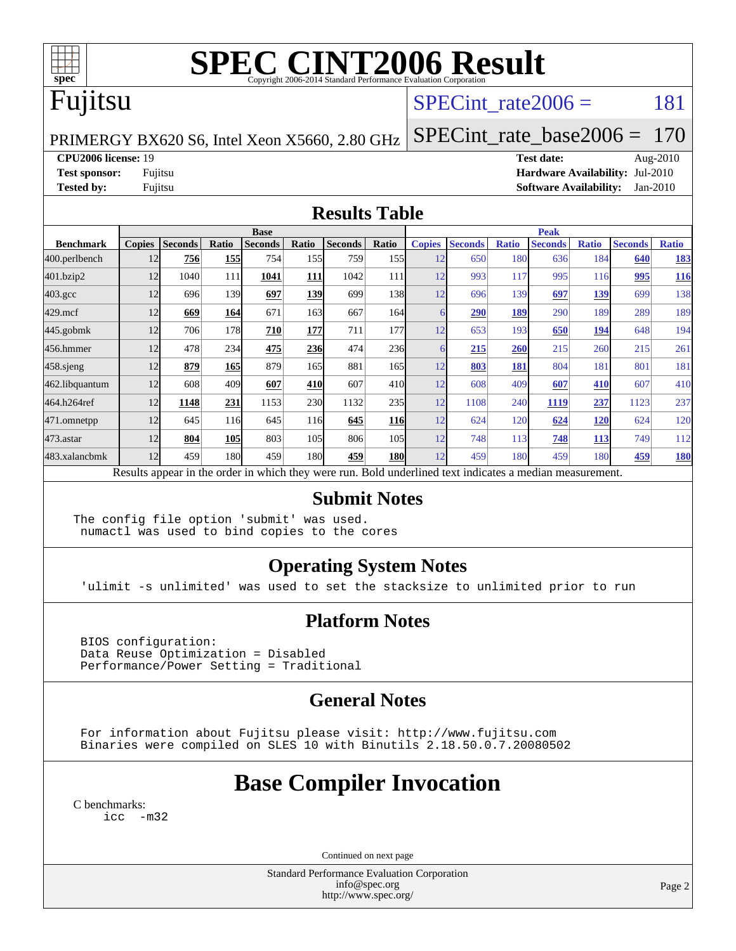

# **[SPEC CINT2006 Result](http://www.spec.org/auto/cpu2006/Docs/result-fields.html#SPECCINT2006Result)**

## Fujitsu

### SPECint rate $2006 = 181$

PRIMERGY BX620 S6, Intel Xeon X5660, 2.80 GHz

[SPECint\\_rate\\_base2006 =](http://www.spec.org/auto/cpu2006/Docs/result-fields.html#SPECintratebase2006) 170

**[CPU2006 license:](http://www.spec.org/auto/cpu2006/Docs/result-fields.html#CPU2006license)** 19 **[Test date:](http://www.spec.org/auto/cpu2006/Docs/result-fields.html#Testdate)** Aug-2010

**[Test sponsor:](http://www.spec.org/auto/cpu2006/Docs/result-fields.html#Testsponsor)** Fujitsu **[Hardware Availability:](http://www.spec.org/auto/cpu2006/Docs/result-fields.html#HardwareAvailability)** Jul-2010 **[Tested by:](http://www.spec.org/auto/cpu2006/Docs/result-fields.html#Testedby)** Fujitsu **[Software Availability:](http://www.spec.org/auto/cpu2006/Docs/result-fields.html#SoftwareAvailability)** Jan-2010

#### **[Results Table](http://www.spec.org/auto/cpu2006/Docs/result-fields.html#ResultsTable)**

|                    | <b>Base</b>                                                                                              |                |       |                |       |                |                 |               | <b>Peak</b>    |              |                |              |                |              |  |
|--------------------|----------------------------------------------------------------------------------------------------------|----------------|-------|----------------|-------|----------------|-----------------|---------------|----------------|--------------|----------------|--------------|----------------|--------------|--|
| <b>Benchmark</b>   | <b>Copies</b>                                                                                            | <b>Seconds</b> | Ratio | <b>Seconds</b> | Ratio | <b>Seconds</b> | Ratio           | <b>Copies</b> | <b>Seconds</b> | <b>Ratio</b> | <b>Seconds</b> | <b>Ratio</b> | <b>Seconds</b> | <b>Ratio</b> |  |
| 400.perlbench      | 12                                                                                                       | 756            | 155   | 754            | 155   | 759            | 155             | 12            | 650            | 180          | 636            | 184          | 640            | <u>183</u>   |  |
| 401.bzip2          | 12                                                                                                       | 1040           | 111   | 1041           | 111   | 1042           | 111             | 12            | 993            | 117          | 995            | 116          | 995            | 116          |  |
| $403.\mathrm{gcc}$ | 12                                                                                                       | 696            | 139   | 697            | 139   | 699            | 138             | 12            | 696            | 139          | 697            | 139          | 699            | 138          |  |
| $429$ .mcf         | 12                                                                                                       | 669            | 164   | 671            | 163   | 667            | 164             |               | 290            | 189          | 290            | 189          | 289            | 189          |  |
| $445$ .gobmk       | 12                                                                                                       | 706            | 178   | 710            | 177   | 711            | 177             | 12            | 653            | 193          | 650            | 194          | 648            | 194          |  |
| 456.hmmer          | 12                                                                                                       | 478            | 234   | 475            | 236   | 474            | <b>236</b>      |               | 215            | 260          | 215            | 260          | 215            | 261          |  |
| $458$ .sjeng       | 12                                                                                                       | 879            | 165   | 879            | 165   | 881            | 165             | 12            | 803            | 181          | 804            | 181          | 801            | 181          |  |
| 462.libquantum     | 12                                                                                                       | 608            | 409   | 607            | 410   | 607            | 41 <sub>0</sub> | 12            | 608            | 409          | 607            | <u>410</u>   | 607            | 410          |  |
| 464.h264ref        | 12                                                                                                       | 1148           | 231   | 1153           | 230   | 1132           | 235             | 12            | 1108           | 240          | 1119           | 237          | 1123           | 237          |  |
| 471.omnetpp        | 12                                                                                                       | 645            | 116   | 645            | 116   | 645            | <b>116</b>      | 12            | 624            | 120          | 624            | <u>120</u>   | 624            | 120          |  |
| 473.astar          | 12                                                                                                       | 804            | 105   | 803            | 105   | 806            | 105             | 12            | 748            | 113          | 748            | <b>113</b>   | 749            | 112          |  |
| 483.xalancbmk      | 12                                                                                                       | 459            | 180   | 459            | 180   | 459            | 180             | 12            | 459            | 180          | 459            | 180          | 459            | <u>180</u>   |  |
|                    | Results appear in the order in which they were run. Bold underlined text indicates a median measurement. |                |       |                |       |                |                 |               |                |              |                |              |                |              |  |

#### **[Submit Notes](http://www.spec.org/auto/cpu2006/Docs/result-fields.html#SubmitNotes)**

The config file option 'submit' was used. numactl was used to bind copies to the cores

### **[Operating System Notes](http://www.spec.org/auto/cpu2006/Docs/result-fields.html#OperatingSystemNotes)**

'ulimit -s unlimited' was used to set the stacksize to unlimited prior to run

#### **[Platform Notes](http://www.spec.org/auto/cpu2006/Docs/result-fields.html#PlatformNotes)**

 BIOS configuration: Data Reuse Optimization = Disabled Performance/Power Setting = Traditional

### **[General Notes](http://www.spec.org/auto/cpu2006/Docs/result-fields.html#GeneralNotes)**

 For information about Fujitsu please visit: <http://www.fujitsu.com> Binaries were compiled on SLES 10 with Binutils 2.18.50.0.7.20080502

## **[Base Compiler Invocation](http://www.spec.org/auto/cpu2006/Docs/result-fields.html#BaseCompilerInvocation)**

[C benchmarks](http://www.spec.org/auto/cpu2006/Docs/result-fields.html#Cbenchmarks): [icc -m32](http://www.spec.org/cpu2006/results/res2010q3/cpu2006-20100913-13194.flags.html#user_CCbase_intel_icc_32bit_5ff4a39e364c98233615fdd38438c6f2)

Continued on next page

Standard Performance Evaluation Corporation [info@spec.org](mailto:info@spec.org) <http://www.spec.org/>

Page 2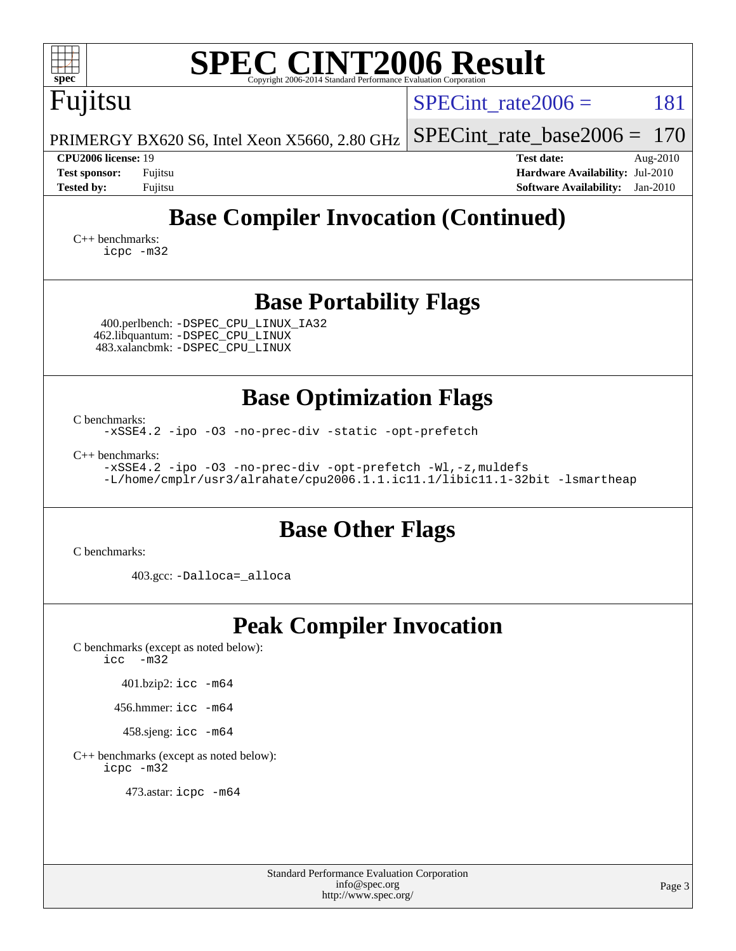| <b>SPEC CINT2006 Result</b><br>spec <sup>®</sup><br>Copyright 2006-2014 Standard Performance Evaluation Corporation                                                                                                                                                        |                                                                                                                    |  |  |  |  |  |  |  |
|----------------------------------------------------------------------------------------------------------------------------------------------------------------------------------------------------------------------------------------------------------------------------|--------------------------------------------------------------------------------------------------------------------|--|--|--|--|--|--|--|
| Fujitsu                                                                                                                                                                                                                                                                    | 181<br>SPECint rate $2006 =$                                                                                       |  |  |  |  |  |  |  |
| PRIMERGY BX620 S6, Intel Xeon X5660, 2.80 GHz                                                                                                                                                                                                                              | $SPECint_rate\_base2006 =$<br>170                                                                                  |  |  |  |  |  |  |  |
| <b>CPU2006 license: 19</b><br><b>Test sponsor:</b><br>Fujitsu<br><b>Tested by:</b><br>Fujitsu                                                                                                                                                                              | <b>Test date:</b><br>Aug- $2010$<br>Hardware Availability: Jul-2010<br><b>Software Availability:</b><br>$Jan-2010$ |  |  |  |  |  |  |  |
| <b>Base Compiler Invocation (Continued)</b><br>$C_{++}$ benchmarks:<br>icpc -m32                                                                                                                                                                                           |                                                                                                                    |  |  |  |  |  |  |  |
| <b>Base Portability Flags</b><br>400.perlbench: -DSPEC_CPU_LINUX_IA32<br>462.libquantum: -DSPEC_CPU_LINUX<br>483.xalancbmk: -DSPEC_CPU_LINUX                                                                                                                               |                                                                                                                    |  |  |  |  |  |  |  |
| <b>Base Optimization Flags</b><br>C benchmarks:<br>-xSSE4.2 -ipo -03 -no-prec-div -static -opt-prefetch<br>$C++$ benchmarks:<br>-xSSE4.2 -ipo -03 -no-prec-div -opt-prefetch -Wl,-z, muldefs<br>-L/home/cmplr/usr3/alrahate/cpu2006.1.1.ic11.1/libic11.1-32bit -lsmartheap |                                                                                                                    |  |  |  |  |  |  |  |
| <b>Base Other Flags</b><br>C benchmarks:<br>403.gcc: -Dalloca=_alloca                                                                                                                                                                                                      |                                                                                                                    |  |  |  |  |  |  |  |
| <b>Peak Compiler Invocation</b><br>C benchmarks (except as noted below):<br>$-m32$<br>icc<br>401.bzip2: icc -m64<br>456.hmmer: $\text{icc}$ -m64<br>458.sjeng: icc -m64<br>C++ benchmarks (except as noted below):<br>icpc -m32<br>473.astar: icpc -m64                    |                                                                                                                    |  |  |  |  |  |  |  |

Standard Performance Evaluation Corporation [info@spec.org](mailto:info@spec.org) <http://www.spec.org/>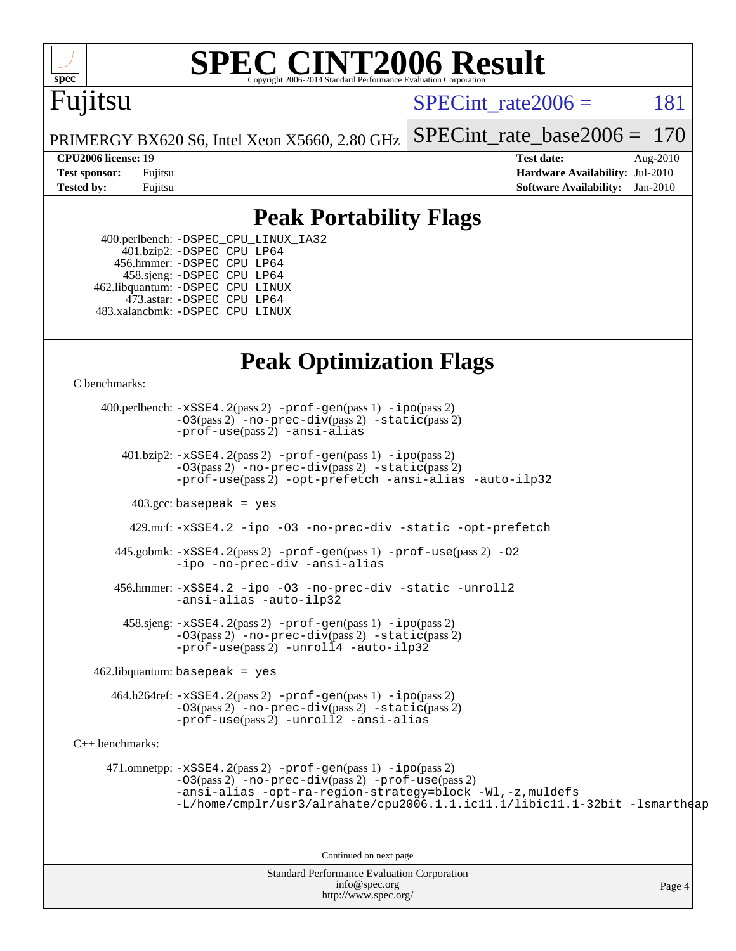

# **[SPEC CINT2006 Result](http://www.spec.org/auto/cpu2006/Docs/result-fields.html#SPECCINT2006Result)**

## Fujitsu

SPECint rate $2006 = 181$ 

[SPECint\\_rate\\_base2006 =](http://www.spec.org/auto/cpu2006/Docs/result-fields.html#SPECintratebase2006) 170

PRIMERGY BX620 S6, Intel Xeon X5660, 2.80 GHz

**[CPU2006 license:](http://www.spec.org/auto/cpu2006/Docs/result-fields.html#CPU2006license)** 19 **[Test date:](http://www.spec.org/auto/cpu2006/Docs/result-fields.html#Testdate)** Aug-2010 **[Test sponsor:](http://www.spec.org/auto/cpu2006/Docs/result-fields.html#Testsponsor)** Fujitsu **[Hardware Availability:](http://www.spec.org/auto/cpu2006/Docs/result-fields.html#HardwareAvailability)** Jul-2010 **[Tested by:](http://www.spec.org/auto/cpu2006/Docs/result-fields.html#Testedby)** Fujitsu **[Software Availability:](http://www.spec.org/auto/cpu2006/Docs/result-fields.html#SoftwareAvailability)** Jan-2010

### **[Peak Portability Flags](http://www.spec.org/auto/cpu2006/Docs/result-fields.html#PeakPortabilityFlags)**

 400.perlbench: [-DSPEC\\_CPU\\_LINUX\\_IA32](http://www.spec.org/cpu2006/results/res2010q3/cpu2006-20100913-13194.flags.html#b400.perlbench_peakCPORTABILITY_DSPEC_CPU_LINUX_IA32) 401.bzip2: [-DSPEC\\_CPU\\_LP64](http://www.spec.org/cpu2006/results/res2010q3/cpu2006-20100913-13194.flags.html#suite_peakCPORTABILITY401_bzip2_DSPEC_CPU_LP64) 456.hmmer: [-DSPEC\\_CPU\\_LP64](http://www.spec.org/cpu2006/results/res2010q3/cpu2006-20100913-13194.flags.html#suite_peakCPORTABILITY456_hmmer_DSPEC_CPU_LP64) 458.sjeng: [-DSPEC\\_CPU\\_LP64](http://www.spec.org/cpu2006/results/res2010q3/cpu2006-20100913-13194.flags.html#suite_peakCPORTABILITY458_sjeng_DSPEC_CPU_LP64) 462.libquantum: [-DSPEC\\_CPU\\_LINUX](http://www.spec.org/cpu2006/results/res2010q3/cpu2006-20100913-13194.flags.html#b462.libquantum_peakCPORTABILITY_DSPEC_CPU_LINUX) 473.astar: [-DSPEC\\_CPU\\_LP64](http://www.spec.org/cpu2006/results/res2010q3/cpu2006-20100913-13194.flags.html#suite_peakCXXPORTABILITY473_astar_DSPEC_CPU_LP64) 483.xalancbmk: [-DSPEC\\_CPU\\_LINUX](http://www.spec.org/cpu2006/results/res2010q3/cpu2006-20100913-13194.flags.html#b483.xalancbmk_peakCXXPORTABILITY_DSPEC_CPU_LINUX)

### **[Peak Optimization Flags](http://www.spec.org/auto/cpu2006/Docs/result-fields.html#PeakOptimizationFlags)**

[C benchmarks](http://www.spec.org/auto/cpu2006/Docs/result-fields.html#Cbenchmarks):

Standard Performance Evaluation Corporation 400.perlbench: [-xSSE4.2](http://www.spec.org/cpu2006/results/res2010q3/cpu2006-20100913-13194.flags.html#user_peakPASS2_CFLAGSPASS2_LDCFLAGS400_perlbench_f-xSSE42_f91528193cf0b216347adb8b939d4107)(pass 2) [-prof-gen](http://www.spec.org/cpu2006/results/res2010q3/cpu2006-20100913-13194.flags.html#user_peakPASS1_CFLAGSPASS1_LDCFLAGS400_perlbench_prof_gen_e43856698f6ca7b7e442dfd80e94a8fc)(pass 1) [-ipo](http://www.spec.org/cpu2006/results/res2010q3/cpu2006-20100913-13194.flags.html#user_peakPASS2_CFLAGSPASS2_LDCFLAGS400_perlbench_f-ipo)(pass 2) [-O3](http://www.spec.org/cpu2006/results/res2010q3/cpu2006-20100913-13194.flags.html#user_peakPASS2_CFLAGSPASS2_LDCFLAGS400_perlbench_f-O3)(pass 2) [-no-prec-div](http://www.spec.org/cpu2006/results/res2010q3/cpu2006-20100913-13194.flags.html#user_peakPASS2_CFLAGSPASS2_LDCFLAGS400_perlbench_f-no-prec-div)(pass 2) [-static](http://www.spec.org/cpu2006/results/res2010q3/cpu2006-20100913-13194.flags.html#user_peakPASS2_CFLAGSPASS2_LDCFLAGS400_perlbench_f-static)(pass 2) [-prof-use](http://www.spec.org/cpu2006/results/res2010q3/cpu2006-20100913-13194.flags.html#user_peakPASS2_CFLAGSPASS2_LDCFLAGS400_perlbench_prof_use_bccf7792157ff70d64e32fe3e1250b55)(pass 2) [-ansi-alias](http://www.spec.org/cpu2006/results/res2010q3/cpu2006-20100913-13194.flags.html#user_peakCOPTIMIZE400_perlbench_f-ansi-alias) 401.bzip2: [-xSSE4.2](http://www.spec.org/cpu2006/results/res2010q3/cpu2006-20100913-13194.flags.html#user_peakPASS2_CFLAGSPASS2_LDCFLAGS401_bzip2_f-xSSE42_f91528193cf0b216347adb8b939d4107)(pass 2) [-prof-gen](http://www.spec.org/cpu2006/results/res2010q3/cpu2006-20100913-13194.flags.html#user_peakPASS1_CFLAGSPASS1_LDCFLAGS401_bzip2_prof_gen_e43856698f6ca7b7e442dfd80e94a8fc)(pass 1) [-ipo](http://www.spec.org/cpu2006/results/res2010q3/cpu2006-20100913-13194.flags.html#user_peakPASS2_CFLAGSPASS2_LDCFLAGS401_bzip2_f-ipo)(pass 2) [-O3](http://www.spec.org/cpu2006/results/res2010q3/cpu2006-20100913-13194.flags.html#user_peakPASS2_CFLAGSPASS2_LDCFLAGS401_bzip2_f-O3)(pass 2) [-no-prec-div](http://www.spec.org/cpu2006/results/res2010q3/cpu2006-20100913-13194.flags.html#user_peakPASS2_CFLAGSPASS2_LDCFLAGS401_bzip2_f-no-prec-div)(pass 2) [-static](http://www.spec.org/cpu2006/results/res2010q3/cpu2006-20100913-13194.flags.html#user_peakPASS2_CFLAGSPASS2_LDCFLAGS401_bzip2_f-static)(pass 2) [-prof-use](http://www.spec.org/cpu2006/results/res2010q3/cpu2006-20100913-13194.flags.html#user_peakPASS2_CFLAGSPASS2_LDCFLAGS401_bzip2_prof_use_bccf7792157ff70d64e32fe3e1250b55)(pass 2) [-opt-prefetch](http://www.spec.org/cpu2006/results/res2010q3/cpu2006-20100913-13194.flags.html#user_peakCOPTIMIZE401_bzip2_f-opt-prefetch) [-ansi-alias](http://www.spec.org/cpu2006/results/res2010q3/cpu2006-20100913-13194.flags.html#user_peakCOPTIMIZE401_bzip2_f-ansi-alias) [-auto-ilp32](http://www.spec.org/cpu2006/results/res2010q3/cpu2006-20100913-13194.flags.html#user_peakCOPTIMIZE401_bzip2_f-auto-ilp32)  $403.\text{gcc: basepeak}$  = yes 429.mcf: [-xSSE4.2](http://www.spec.org/cpu2006/results/res2010q3/cpu2006-20100913-13194.flags.html#user_peakCOPTIMIZE429_mcf_f-xSSE42_f91528193cf0b216347adb8b939d4107) [-ipo](http://www.spec.org/cpu2006/results/res2010q3/cpu2006-20100913-13194.flags.html#user_peakCOPTIMIZE429_mcf_f-ipo) [-O3](http://www.spec.org/cpu2006/results/res2010q3/cpu2006-20100913-13194.flags.html#user_peakCOPTIMIZE429_mcf_f-O3) [-no-prec-div](http://www.spec.org/cpu2006/results/res2010q3/cpu2006-20100913-13194.flags.html#user_peakCOPTIMIZE429_mcf_f-no-prec-div) [-static](http://www.spec.org/cpu2006/results/res2010q3/cpu2006-20100913-13194.flags.html#user_peakCOPTIMIZE429_mcf_f-static) [-opt-prefetch](http://www.spec.org/cpu2006/results/res2010q3/cpu2006-20100913-13194.flags.html#user_peakCOPTIMIZE429_mcf_f-opt-prefetch) 445.gobmk: [-xSSE4.2](http://www.spec.org/cpu2006/results/res2010q3/cpu2006-20100913-13194.flags.html#user_peakPASS2_CFLAGSPASS2_LDCFLAGS445_gobmk_f-xSSE42_f91528193cf0b216347adb8b939d4107)(pass 2) [-prof-gen](http://www.spec.org/cpu2006/results/res2010q3/cpu2006-20100913-13194.flags.html#user_peakPASS1_CFLAGSPASS1_LDCFLAGS445_gobmk_prof_gen_e43856698f6ca7b7e442dfd80e94a8fc)(pass 1) [-prof-use](http://www.spec.org/cpu2006/results/res2010q3/cpu2006-20100913-13194.flags.html#user_peakPASS2_CFLAGSPASS2_LDCFLAGS445_gobmk_prof_use_bccf7792157ff70d64e32fe3e1250b55)(pass 2) [-O2](http://www.spec.org/cpu2006/results/res2010q3/cpu2006-20100913-13194.flags.html#user_peakCOPTIMIZE445_gobmk_f-O2) [-ipo](http://www.spec.org/cpu2006/results/res2010q3/cpu2006-20100913-13194.flags.html#user_peakCOPTIMIZE445_gobmk_f-ipo) [-no-prec-div](http://www.spec.org/cpu2006/results/res2010q3/cpu2006-20100913-13194.flags.html#user_peakCOPTIMIZE445_gobmk_f-no-prec-div) [-ansi-alias](http://www.spec.org/cpu2006/results/res2010q3/cpu2006-20100913-13194.flags.html#user_peakCOPTIMIZE445_gobmk_f-ansi-alias) 456.hmmer: [-xSSE4.2](http://www.spec.org/cpu2006/results/res2010q3/cpu2006-20100913-13194.flags.html#user_peakCOPTIMIZE456_hmmer_f-xSSE42_f91528193cf0b216347adb8b939d4107) [-ipo](http://www.spec.org/cpu2006/results/res2010q3/cpu2006-20100913-13194.flags.html#user_peakCOPTIMIZE456_hmmer_f-ipo) [-O3](http://www.spec.org/cpu2006/results/res2010q3/cpu2006-20100913-13194.flags.html#user_peakCOPTIMIZE456_hmmer_f-O3) [-no-prec-div](http://www.spec.org/cpu2006/results/res2010q3/cpu2006-20100913-13194.flags.html#user_peakCOPTIMIZE456_hmmer_f-no-prec-div) [-static](http://www.spec.org/cpu2006/results/res2010q3/cpu2006-20100913-13194.flags.html#user_peakCOPTIMIZE456_hmmer_f-static) [-unroll2](http://www.spec.org/cpu2006/results/res2010q3/cpu2006-20100913-13194.flags.html#user_peakCOPTIMIZE456_hmmer_f-unroll_784dae83bebfb236979b41d2422d7ec2) [-ansi-alias](http://www.spec.org/cpu2006/results/res2010q3/cpu2006-20100913-13194.flags.html#user_peakCOPTIMIZE456_hmmer_f-ansi-alias) [-auto-ilp32](http://www.spec.org/cpu2006/results/res2010q3/cpu2006-20100913-13194.flags.html#user_peakCOPTIMIZE456_hmmer_f-auto-ilp32)  $458 \text{.}$  sjeng:  $-xSSE4$ .  $2(\text{pass 2})$  -prof-qen(pass 1) [-ipo](http://www.spec.org/cpu2006/results/res2010q3/cpu2006-20100913-13194.flags.html#user_peakPASS2_CFLAGSPASS2_LDCFLAGS458_sjeng_f-ipo)(pass 2) [-O3](http://www.spec.org/cpu2006/results/res2010q3/cpu2006-20100913-13194.flags.html#user_peakPASS2_CFLAGSPASS2_LDCFLAGS458_sjeng_f-O3)(pass 2) [-no-prec-div](http://www.spec.org/cpu2006/results/res2010q3/cpu2006-20100913-13194.flags.html#user_peakPASS2_CFLAGSPASS2_LDCFLAGS458_sjeng_f-no-prec-div)(pass 2) [-static](http://www.spec.org/cpu2006/results/res2010q3/cpu2006-20100913-13194.flags.html#user_peakPASS2_CFLAGSPASS2_LDCFLAGS458_sjeng_f-static)(pass 2) [-prof-use](http://www.spec.org/cpu2006/results/res2010q3/cpu2006-20100913-13194.flags.html#user_peakPASS2_CFLAGSPASS2_LDCFLAGS458_sjeng_prof_use_bccf7792157ff70d64e32fe3e1250b55)(pass 2) [-unroll4](http://www.spec.org/cpu2006/results/res2010q3/cpu2006-20100913-13194.flags.html#user_peakCOPTIMIZE458_sjeng_f-unroll_4e5e4ed65b7fd20bdcd365bec371b81f) [-auto-ilp32](http://www.spec.org/cpu2006/results/res2010q3/cpu2006-20100913-13194.flags.html#user_peakCOPTIMIZE458_sjeng_f-auto-ilp32)  $462$ .libquantum: basepeak = yes 464.h264ref: [-xSSE4.2](http://www.spec.org/cpu2006/results/res2010q3/cpu2006-20100913-13194.flags.html#user_peakPASS2_CFLAGSPASS2_LDCFLAGS464_h264ref_f-xSSE42_f91528193cf0b216347adb8b939d4107)(pass 2) [-prof-gen](http://www.spec.org/cpu2006/results/res2010q3/cpu2006-20100913-13194.flags.html#user_peakPASS1_CFLAGSPASS1_LDCFLAGS464_h264ref_prof_gen_e43856698f6ca7b7e442dfd80e94a8fc)(pass 1) [-ipo](http://www.spec.org/cpu2006/results/res2010q3/cpu2006-20100913-13194.flags.html#user_peakPASS2_CFLAGSPASS2_LDCFLAGS464_h264ref_f-ipo)(pass 2) [-O3](http://www.spec.org/cpu2006/results/res2010q3/cpu2006-20100913-13194.flags.html#user_peakPASS2_CFLAGSPASS2_LDCFLAGS464_h264ref_f-O3)(pass 2) [-no-prec-div](http://www.spec.org/cpu2006/results/res2010q3/cpu2006-20100913-13194.flags.html#user_peakPASS2_CFLAGSPASS2_LDCFLAGS464_h264ref_f-no-prec-div)(pass 2) [-static](http://www.spec.org/cpu2006/results/res2010q3/cpu2006-20100913-13194.flags.html#user_peakPASS2_CFLAGSPASS2_LDCFLAGS464_h264ref_f-static)(pass 2) [-prof-use](http://www.spec.org/cpu2006/results/res2010q3/cpu2006-20100913-13194.flags.html#user_peakPASS2_CFLAGSPASS2_LDCFLAGS464_h264ref_prof_use_bccf7792157ff70d64e32fe3e1250b55)(pass 2) [-unroll2](http://www.spec.org/cpu2006/results/res2010q3/cpu2006-20100913-13194.flags.html#user_peakCOPTIMIZE464_h264ref_f-unroll_784dae83bebfb236979b41d2422d7ec2) [-ansi-alias](http://www.spec.org/cpu2006/results/res2010q3/cpu2006-20100913-13194.flags.html#user_peakCOPTIMIZE464_h264ref_f-ansi-alias) [C++ benchmarks:](http://www.spec.org/auto/cpu2006/Docs/result-fields.html#CXXbenchmarks) 471.omnetpp: [-xSSE4.2](http://www.spec.org/cpu2006/results/res2010q3/cpu2006-20100913-13194.flags.html#user_peakPASS2_CXXFLAGSPASS2_LDCXXFLAGS471_omnetpp_f-xSSE42_f91528193cf0b216347adb8b939d4107)(pass 2) [-prof-gen](http://www.spec.org/cpu2006/results/res2010q3/cpu2006-20100913-13194.flags.html#user_peakPASS1_CXXFLAGSPASS1_LDCXXFLAGS471_omnetpp_prof_gen_e43856698f6ca7b7e442dfd80e94a8fc)(pass 1) [-ipo](http://www.spec.org/cpu2006/results/res2010q3/cpu2006-20100913-13194.flags.html#user_peakPASS2_CXXFLAGSPASS2_LDCXXFLAGS471_omnetpp_f-ipo)(pass 2) [-O3](http://www.spec.org/cpu2006/results/res2010q3/cpu2006-20100913-13194.flags.html#user_peakPASS2_CXXFLAGSPASS2_LDCXXFLAGS471_omnetpp_f-O3)(pass 2) [-no-prec-div](http://www.spec.org/cpu2006/results/res2010q3/cpu2006-20100913-13194.flags.html#user_peakPASS2_CXXFLAGSPASS2_LDCXXFLAGS471_omnetpp_f-no-prec-div)(pass 2) [-prof-use](http://www.spec.org/cpu2006/results/res2010q3/cpu2006-20100913-13194.flags.html#user_peakPASS2_CXXFLAGSPASS2_LDCXXFLAGS471_omnetpp_prof_use_bccf7792157ff70d64e32fe3e1250b55)(pass 2) [-ansi-alias](http://www.spec.org/cpu2006/results/res2010q3/cpu2006-20100913-13194.flags.html#user_peakCXXOPTIMIZE471_omnetpp_f-ansi-alias) [-opt-ra-region-strategy=block](http://www.spec.org/cpu2006/results/res2010q3/cpu2006-20100913-13194.flags.html#user_peakCXXOPTIMIZE471_omnetpp_f-opt-ra-region-strategy-block_a0a37c372d03933b2a18d4af463c1f69) [-Wl,-z,muldefs](http://www.spec.org/cpu2006/results/res2010q3/cpu2006-20100913-13194.flags.html#user_peakEXTRA_LDFLAGS471_omnetpp_link_force_multiple1_74079c344b956b9658436fd1b6dd3a8a) [-L/home/cmplr/usr3/alrahate/cpu2006.1.1.ic11.1/libic11.1-32bit -lsmartheap](http://www.spec.org/cpu2006/results/res2010q3/cpu2006-20100913-13194.flags.html#user_peakEXTRA_LIBS471_omnetpp_SmartHeap_d86dffe4a79b79ef8890d5cce17030c3) Continued on next page

[info@spec.org](mailto:info@spec.org) <http://www.spec.org/> Page 4